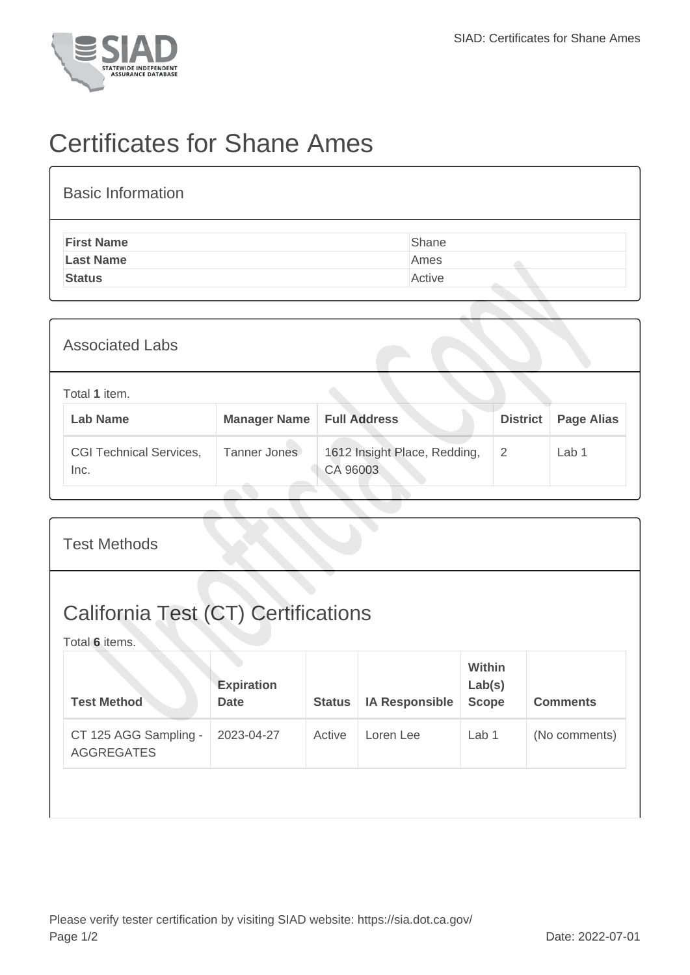

## Certificates for Shane Ames

| <b>Basic Information</b> |        |
|--------------------------|--------|
| <b>First Name</b>        | Shane  |
| <b>Last Name</b>         | Ames   |
| <b>Status</b>            | Active |

| <b>Associated Labs</b>                 |                     |                                          |                 |                   |
|----------------------------------------|---------------------|------------------------------------------|-----------------|-------------------|
| Total 1 item.<br><b>Lab Name</b>       | <b>Manager Name</b> | <b>Full Address</b>                      | <b>District</b> | <b>Page Alias</b> |
| <b>CGI Technical Services,</b><br>Inc. | Tanner Jones        | 1612 Insight Place, Redding,<br>CA 96003 | 2               | Lab 1             |

| <b>Test Methods</b>                                          |                                  |               |                       |                                  |                 |
|--------------------------------------------------------------|----------------------------------|---------------|-----------------------|----------------------------------|-----------------|
| <b>California Test (CT) Certifications</b><br>Total 6 items. |                                  |               |                       |                                  |                 |
| <b>Test Method</b>                                           | <b>Expiration</b><br><b>Date</b> | <b>Status</b> | <b>IA Responsible</b> | Within<br>Lab(s)<br><b>Scope</b> | <b>Comments</b> |
| CT 125 AGG Sampling -<br><b>AGGREGATES</b>                   | 2023-04-27                       | Active        | Loren Lee             | Lab 1                            | (No comments)   |
|                                                              |                                  |               |                       |                                  |                 |